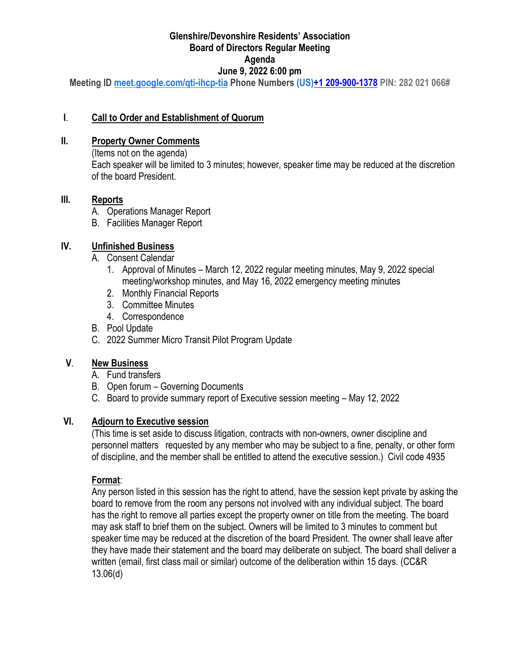#### **Glenshire/Devonshire Residents' Association Board of Directors Regular Meeting Agenda June 9, 2022 6:00 pm**

**Meeting ID [meet.google.com/qti-ihcp-tia](https://meet.google.com/qti-ihcp-tia?hs=122&authuser=0) Phone Numbers (US[\)+1 209-900-1378](tel:%E2%80%AA+1%20209-900-1378%E2%80%AC) PIN: 282 021 066#**

### **I**. **Call to Order and Establishment of Quorum**

#### **II. Property Owner Comments**

(Items not on the agenda) Each speaker will be limited to 3 minutes; however, speaker time may be reduced at the discretion of the board President.

#### **III. Reports**

- A. Operations Manager Report
- B. Facilities Manager Report

### **IV. Unfinished Business**

- A. Consent Calendar
	- 1. Approval of Minutes March 12, 2022 regular meeting minutes, May 9, 2022 special meeting/workshop minutes, and May 16, 2022 emergency meeting minutes
	- 2. Monthly Financial Reports
	- 3. Committee Minutes
	- 4. Correspondence
- B. Pool Update
- C. 2022 Summer Micro Transit Pilot Program Update

### **V**. **New Business**

- A. Fund transfers
- B. Open forum Governing Documents
- C. Board to provide summary report of Executive session meeting May 12, 2022

### **VI. Adjourn to Executive session**

(This time is set aside to discuss litigation, contracts with non-owners, owner discipline and personnel matters requested by any member who may be subject to a fine, penalty, or other form of discipline, and the member shall be entitled to attend the executive session.) Civil code 4935

#### **Format**:

Any person listed in this session has the right to attend, have the session kept private by asking the board to remove from the room any persons not involved with any individual subject. The board has the right to remove all parties except the property owner on title from the meeting. The board may ask staff to brief them on the subject. Owners will be limited to 3 minutes to comment but speaker time may be reduced at the discretion of the board President. The owner shall leave after they have made their statement and the board may deliberate on subject. The board shall deliver a written (email, first class mail or similar) outcome of the deliberation within 15 days. (CC&R 13.06(d)